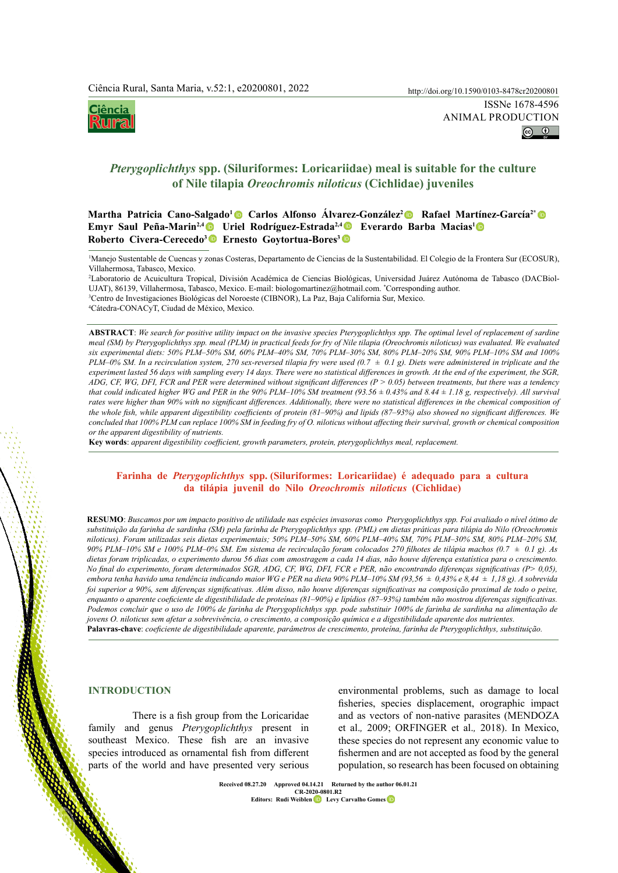

animal production $\boxed{6}$   $\boxed{0}$ 

# *Pterygoplichthys* **spp. (Siluriformes: Loricariidae) meal is suitable for the culture of Nile tilapia** *Oreochromis niloticus* **(Cichlidae) juveniles**

**Martha Patricia Cano-Salgado1 Carlos Alfonso Álvarez-González2 Rafael Martínez-García2[\\*](https://orcid.org/0000-0003-2560-1518)  Emyr Saul Peña-Marin2,[4](https://orcid.org/0000-0002-4736-9089) Uriel Rodríguez-Estrada2,4Everardo Barba Macias1  Roberto Civera-Cerecedo3 Ernesto Goytortua-Bores3**

1 Manejo Sustentable de Cuencas y zonas Costeras, Departamento de Ciencias de la Sustentabilidad. El Colegio de la Frontera Sur (ECOSUR), Villahermosa, Tabasco, Mexico.

 Laboratorio de Acuicultura Tropical, División Académica de Ciencias Biológicas, Universidad Juárez Autónoma de Tabasco (DACBiol-UJAT), 86139, Villahermosa, Tabasco, Mexico. E-mail: biologomartinez@hotmail.com. \* Corresponding author. Centro de Investigaciones Biológicas del Noroeste (CIBNOR), La Paz, Baja California Sur, Mexico. Cátedra-CONACyT, Ciudad de México, Mexico.

**ABSTRACT**: *We search for positive utility impact on the invasive species Pterygoplichthys spp. The optimal level of replacement of sardine meal (SM) by Pterygoplichthys spp. meal (PLM) in practical feeds for fry of Nile tilapia (Oreochromis niloticus) was evaluated. We evaluated six experimental diets: 50% PLM–50% SM, 60% PLM–40% SM, 70% PLM–30% SM, 80% PLM–20% SM, 90% PLM–10% SM and 100% PLM–0% SM. In a recirculation system, 270 sex-reversed tilapia fry were used (0.7 ± 0.1 g). Diets were administered in triplicate and the experiment lasted 56 days with sampling every 14 days. There were no statistical differences in growth. At the end of the experiment, the SGR, ADG, CF, WG, DFI, FCR and PER were determined without significant differences (P > 0.05) between treatments, but there was a tendency that could indicated higher WG and PER in the 90% PLM–10% SM treatment (93.56*  $\pm$  0.43% and 8.44  $\pm$  1.18 g, respectively). All survival rates were higher than 90% with no significant differences. Additionally, there were no statistical differences in the chemical composition of *the whole fish, while apparent digestibility coefficients of protein (81–90%) and lipids (87–93%) also showed no significant differences. We concluded that 100% PLM can replace 100% SM in feeding fry of O. niloticus without affecting their survival, growth or chemical composition or the apparent digestibility of nutrients.*

**Key words**: *apparent digestibility coefficient, growth parameters, protein, pterygoplichthys meal, replacement.*

# **Farinha de** *Pterygoplichthys* **spp. (Siluriformes: Loricariidae) é adequado para a cultura da tilápia juvenil do Nilo** *Oreochromis niloticus* **(Cichlidae)**

**RESUMO**: *Buscamos por um impacto positivo de utilidade nas espécies invasoras como Pterygoplichthys spp. Foi avaliado o nível ótimo de substituição da farinha de sardinha (SM) pela farinha de Pterygoplichthys spp. (PML) em dietas práticas para tilápia do Nilo (Oreochromis niloticus). Foram utilizadas seis dietas experimentais; 50% PLM–50% SM, 60% PLM–40% SM, 70% PLM–30% SM, 80% PLM–20% SM, 90% PLM–10% SM e 100% PLM–0% SM. Em sistema de recirculação foram colocados 270 filhotes de tilápia machos (0.7 ± 0.1 g). As dietas foram triplicadas, o experimento durou 56 dias com amostragem a cada 14 dias, não houve diferença estatística para o crescimento. No final do experimento, foram determinados SGR, ADG, CF, WG, DFI, FCR e PER, não encontrando diferenças significativas (P> 0,05), embora tenha havido uma tendência indicando maior WG e PER na dieta 90% PLM–10% SM (93,56 ± 0,43% e 8,44 ± 1,18 g). A sobrevida foi superior a 90%, sem diferenças significativas. Além disso, não houve diferenças significativas na composição proximal de todo o peixe, enquanto o aparente coeficiente de digestibilidade de proteínas (81–90%) e lipídios (87–93%) também não mostrou diferenças significativas. Podemos concluir que o uso de 100% de farinha de Pterygoplichthys spp. pode substituir 100% de farinha de sardinha na alimentação de jovens O. niloticus sem afetar a sobrevivência, o crescimento, a composição química e a digestibilidade aparente dos nutrientes.* **Palavras-chave**: *coeficiente de digestibilidade aparente, parâmetros de crescimento, proteína, farinha de Pterygoplichthys, substituição.*

# **INTRODUCTION**

There is a fish group from the Loricaridae family and genus *Pterygoplichthys* present in southeast Mexico. These fish are an invasive species introduced as ornamental fish from different parts of the world and have presented very serious

environmental problems, such as damage to local fisheries, species displacement, orographic impact and as vectors of non-native parasites (MENDOZA et al.*,* 2009; ORFINGER et al.*,* 2018). In Mexico, these species do not represent any economic value to fishermen and are not accepted as food by the general population, so research has been focused on obtaining

**Ciência Rural, v.52, n.1, 2022. Received 08.27.20 Approved 04.14.21 Returned by the author 06.01.21 CR-2020-0801.R2 Editor[s](https://orcid.org/0000-0001-5826-2431):** Rudi Weible[n](https://orcid.org/0000-0002-1737-9817) **D** Levy Carvalho Gomes **D**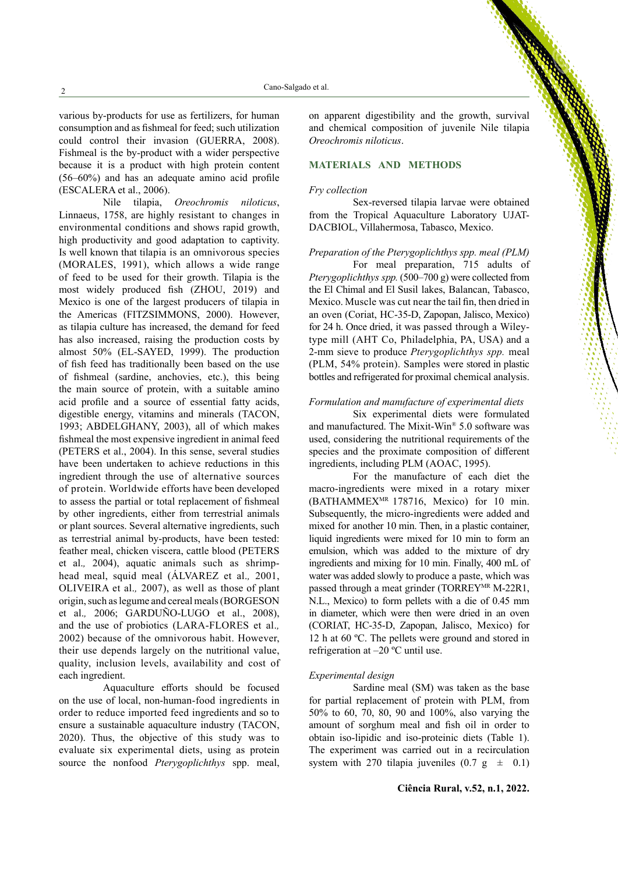various by-products for use as fertilizers, for human consumption and as fishmeal for feed; such utilization could control their invasion (GUERRA, 2008). Fishmeal is the by-product with a wider perspective because it is a product with high protein content (56–60%) and has an adequate amino acid profile (ESCALERA et al., 2006).

Nile tilapia, *Oreochromis niloticus*, Linnaeus, 1758, are highly resistant to changes in environmental conditions and shows rapid growth, high productivity and good adaptation to captivity. Is well known that tilapia is an omnivorous species (MORALES, 1991), which allows a wide range of feed to be used for their growth. Tilapia is the most widely produced fish (ZHOU, 2019) and Mexico is one of the largest producers of tilapia in the Americas (FITZSIMMONS, 2000). However, as tilapia culture has increased, the demand for feed has also increased, raising the production costs by almost 50% (EL-SAYED, 1999). The production of fish feed has traditionally been based on the use of fishmeal (sardine, anchovies, etc.), this being the main source of protein, with a suitable amino acid profile and a source of essential fatty acids, digestible energy, vitamins and minerals (TACON, 1993; ABDELGHANY, 2003), all of which makes fishmeal the most expensive ingredient in animal feed (PETERS et al., 2004). In this sense, several studies have been undertaken to achieve reductions in this ingredient through the use of alternative sources of protein. Worldwide efforts have been developed to assess the partial or total replacement of fishmeal by other ingredients, either from terrestrial animals or plant sources. Several alternative ingredients, such as terrestrial animal by-products, have been tested: feather meal, chicken viscera, cattle blood (PETERS et al.*,* 2004), aquatic animals such as shrimphead meal, squid meal (ÁLVAREZ et al.*,* 2001, OLIVEIRA et al.*,* 2007), as well as those of plant origin, such as legume and cereal meals (BORGESON et al.*,* 2006; GARDUÑO-LUGO et al., 2008), and the use of probiotics (LARA-FLORES et al.*,* 2002) because of the omnivorous habit. However, their use depends largely on the nutritional value, quality, inclusion levels, availability and cost of each ingredient.

Aquaculture efforts should be focused on the use of local, non-human-food ingredients in order to reduce imported feed ingredients and so to ensure a sustainable aquaculture industry (TACON, 2020). Thus, the objective of this study was to evaluate six experimental diets, using as protein source the nonfood *Pterygoplichthys* spp. meal, on apparent digestibility and the growth, survival and chemical composition of juvenile Nile tilapia *Oreochromis niloticus*.

# **MATERIALS AND METHODS**

#### *Fry collection*

Sex-reversed tilapia larvae were obtained from the Tropical Aquaculture Laboratory UJAT-DACBIOL, Villahermosa, Tabasco, Mexico.

# *Preparation of the Pterygoplichthys spp. meal (PLM)*

For meal preparation, 715 adults of *Pterygoplichthys spp.* (500–700 g) were collected from the El Chimal and El Susil lakes, Balancan, Tabasco, Mexico. Muscle was cut near the tail fin, then dried in an oven (Coriat, HC-35-D, Zapopan, Jalisco, Mexico) for 24 h. Once dried, it was passed through a Wileytype mill (AHT Co, Philadelphia, PA, USA) and a 2-mm sieve to produce *Pterygoplichthys spp.* meal (PLM, 54% protein). Samples were stored in plastic bottles and refrigerated for proximal chemical analysis.

# *Formulation and manufacture of experimental diets*

Six experimental diets were formulated and manufactured. The Mixit-Win® 5.0 software was used, considering the nutritional requirements of the species and the proximate composition of different ingredients, including PLM (AOAC, 1995).

For the manufacture of each diet the macro-ingredients were mixed in a rotary mixer (BATHAMMEXMR 178716, Mexico) for 10 min. Subsequently, the micro-ingredients were added and mixed for another 10 min. Then, in a plastic container, liquid ingredients were mixed for 10 min to form an emulsion, which was added to the mixture of dry ingredients and mixing for 10 min. Finally, 400 mL of water was added slowly to produce a paste, which was passed through a meat grinder (TORREY<sup>MR</sup> M-22R1, N.L., Mexico) to form pellets with a die of 0.45 mm in diameter, which were then were dried in an oven (CORIAT, HC-35-D, Zapopan, Jalisco, Mexico) for 12 h at 60 ºC. The pellets were ground and stored in refrigeration at –20 ºC until use.

#### *Experimental design*

Sardine meal (SM) was taken as the base for partial replacement of protein with PLM, from 50% to 60, 70, 80, 90 and 100%, also varying the amount of sorghum meal and fish oil in order to obtain iso-lipidic and iso-proteinic diets (Table 1). The experiment was carried out in a recirculation system with 270 tilapia juveniles  $(0.7 \text{ g } \pm 0.1)$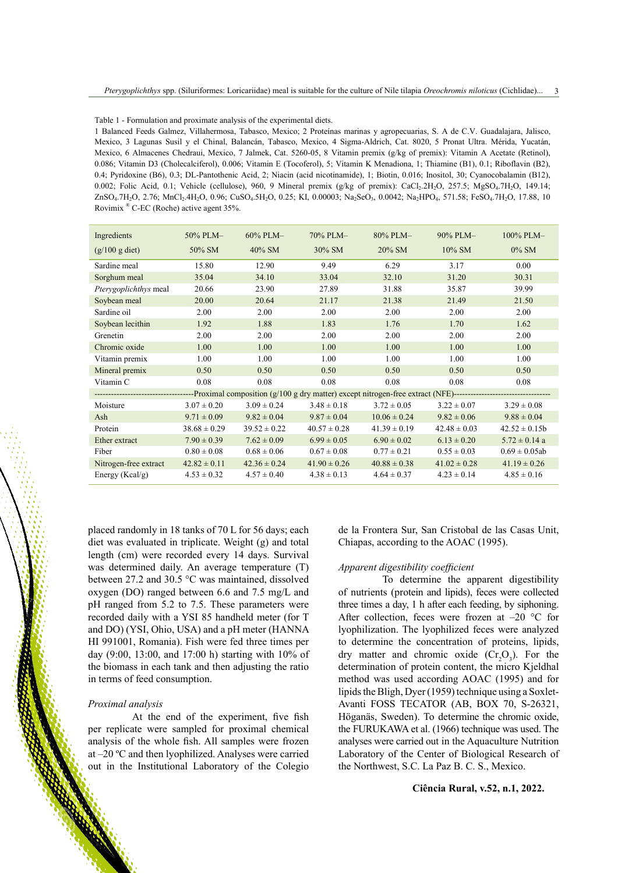Table 1 - Formulation and proximate analysis of the experimental diets.

1 Balanced Feeds Galmez, Villahermosa, Tabasco, Mexico; 2 Proteínas marinas y agropecuarias, S. A de C.V. Guadalajara, Jalisco, Mexico, 3 Lagunas Susil y el Chinal, Balancán, Tabasco, Mexico, 4 Sigma-Aldrich, Cat. 8020, 5 Pronat Ultra. Mérida, Yucatán, Mexico, 6 Almacenes Chedraui, Mexico, 7 Jalmek, Cat. 5260-05, 8 Vitamin premix (g/kg of premix): Vitamin A Acetate (Retinol), 0.086; Vitamin D3 (Cholecalciferol), 0.006; Vitamin E (Tocoferol), 5; Vitamin K Menadiona, 1; Thiamine (B1), 0.1; Riboflavin (B2), 0.4; Pyridoxine (B6), 0.3; DL-Pantothenic Acid, 2; Niacin (acid nicotinamide), 1; Biotin, 0.016; Inositol, 30; Cyanocobalamin (B12), 0.002; Folic Acid, 0.1; Vehicle (cellulose), 960, 9 Mineral premix (g/kg of premix): CaCl<sub>2</sub>.2H<sub>2</sub>O, 257.5; MgSO<sub>4</sub>.7H<sub>2</sub>O, 149.14; ZnSO<sub>4</sub>.7H<sub>2</sub>O, 2.76; MnCl<sub>2</sub>.4H<sub>2</sub>O, 0.96; CuSO<sub>4</sub>.5H<sub>2</sub>O, 0.25; KI, 0.00003; Na<sub>2</sub>SeO<sub>3</sub>, 0.0042; Na<sub>2</sub>HPO<sub>4</sub>, 571.58; FeSO<sub>4</sub>.7H<sub>2</sub>O, 17.88, 10 Rovimix ® C-EC (Roche) active agent 35%.

| Ingredients              | 50% PLM-         | 60% PLM-         | 70% PLM-         | 80% PLM-         | 90% PLM-         | 100% PLM-          |  |  |
|--------------------------|------------------|------------------|------------------|------------------|------------------|--------------------|--|--|
| $(g/100 g \text{ diet})$ | 50% SM           | $40\%$ SM        | $30\%$ SM        | $20\%$ SM        | $10\%$ SM        | $0\%$ SM           |  |  |
| Sardine meal             | 15.80            | 12.90            | 9.49             | 6.29             | 3.17             | 0.00               |  |  |
| Sorghum meal             | 35.04            | 34.10            | 33.04            | 32.10            | 31.20            | 30.31              |  |  |
| Pterygoplichthys meal    | 20.66            | 23.90            | 27.89            | 31.88            | 35.87            | 39.99              |  |  |
| Soybean meal             | 20.00            | 20.64            | 21.17            | 21.38            | 21.49            | 21.50              |  |  |
| Sardine oil              | 2.00             | 2.00             | 2.00             | 2.00             | 2.00             | 2.00               |  |  |
| Soybean lecithin         | 1.92             | 1.88             | 1.83             | 1.76             | 1.70             | 1.62               |  |  |
| Grenetin                 | 2.00             | 2.00             | 2.00             | 2.00             | 2.00             | 2.00               |  |  |
| Chromic oxide            | 1.00             | 1.00             | 1.00             | 1.00             | 1.00             | 1.00               |  |  |
| Vitamin premix           | 1.00             | 1.00             | 1.00             | 1.00             | 1.00             | 1.00               |  |  |
| Mineral premix           | 0.50             | 0.50             | 0.50             | 0.50             | 0.50             | 0.50               |  |  |
| Vitamin C                | 0.08             | 0.08             | 0.08             | 0.08             | 0.08             | 0.08               |  |  |
|                          |                  |                  |                  |                  |                  |                    |  |  |
| Moisture                 | $3.07 \pm 0.20$  | $3.09 \pm 0.24$  | $3.48 \pm 0.18$  | $3.72 \pm 0.05$  | $3.22 \pm 0.07$  | $3.29 \pm 0.08$    |  |  |
| Ash                      | $9.71 \pm 0.09$  | $9.82 \pm 0.04$  | $9.87 \pm 0.04$  | $10.06 \pm 0.24$ | $9.82 \pm 0.06$  | $9.88 \pm 0.04$    |  |  |
| Protein                  | $38.68 \pm 0.29$ | $39.52 \pm 0.22$ | $40.57 \pm 0.28$ | $41.39 \pm 0.19$ | $42.48 \pm 0.03$ | $42.52 \pm 0.15b$  |  |  |
| Ether extract            | $7.90 \pm 0.39$  | $7.62 \pm 0.09$  | $6.99 \pm 0.05$  | $6.90 \pm 0.02$  | $6.13 \pm 0.20$  | $5.72 \pm 0.14$ a  |  |  |
| Fiber                    | $0.80 \pm 0.08$  | $0.68 \pm 0.06$  | $0.67 \pm 0.08$  | $0.77 \pm 0.21$  | $0.55 \pm 0.03$  | $0.69 \pm 0.05$ ab |  |  |
| Nitrogen-free extract    | $42.82 \pm 0.11$ | $42.36 \pm 0.24$ | $41.90 \pm 0.26$ | $40.88 \pm 0.38$ | $41.02 \pm 0.28$ | $41.19 \pm 0.26$   |  |  |
| Energy ( $Kcal/g$ )      | $4.53 \pm 0.32$  | $4.57 \pm 0.40$  | $4.38 \pm 0.13$  | $4.64 \pm 0.37$  | $4.23 \pm 0.14$  | $4.85 \pm 0.16$    |  |  |

placed randomly in 18 tanks of 70 L for 56 days; each diet was evaluated in triplicate. Weight (g) and total length (cm) were recorded every 14 days. Survival was determined daily. An average temperature (T) between 27.2 and 30.5 °C was maintained, dissolved oxygen (DO) ranged between 6.6 and 7.5 mg/L and pH ranged from 5.2 to 7.5. These parameters were recorded daily with a YSI 85 handheld meter (for T and DO) (YSI, Ohio, USA) and a pH meter (HANNA HI 991001, Romania). Fish were fed three times per day (9:00, 13:00, and 17:00 h) starting with 10% of the biomass in each tank and then adjusting the ratio in terms of feed consumption.

#### *Proximal analysis*

At the end of the experiment, five fish per replicate were sampled for proximal chemical analysis of the whole fish. All samples were frozen at –20 ºC and then lyophilized. Analyses were carried out in the Institutional Laboratory of the Colegio de la Frontera Sur, San Cristobal de las Casas Unit, Chiapas, according to the AOAC (1995).

### *Apparent digestibility coefficient*

To determine the apparent digestibility of nutrients (protein and lipids), feces were collected three times a day, 1 h after each feeding, by siphoning. After collection, feces were frozen at -20 °C for lyophilization. The lyophilized feces were analyzed to determine the concentration of proteins, lipids, dry matter and chromic oxide  $(Cr_2O_3)$ . For the determination of protein content, the micro Kjeldhal method was used according AOAC (1995) and for lipids the Bligh, Dyer (1959) technique using a Soxlet-Avanti FOSS TECATOR (AB, BOX 70, S-26321, Höganäs, Sweden). To determine the chromic oxide, the FURUKAWA et al. (1966) technique was used. The analyses were carried out in the Aquaculture Nutrition Laboratory of the Center of Biological Research of the Northwest, S.C. La Paz B. C. S., Mexico.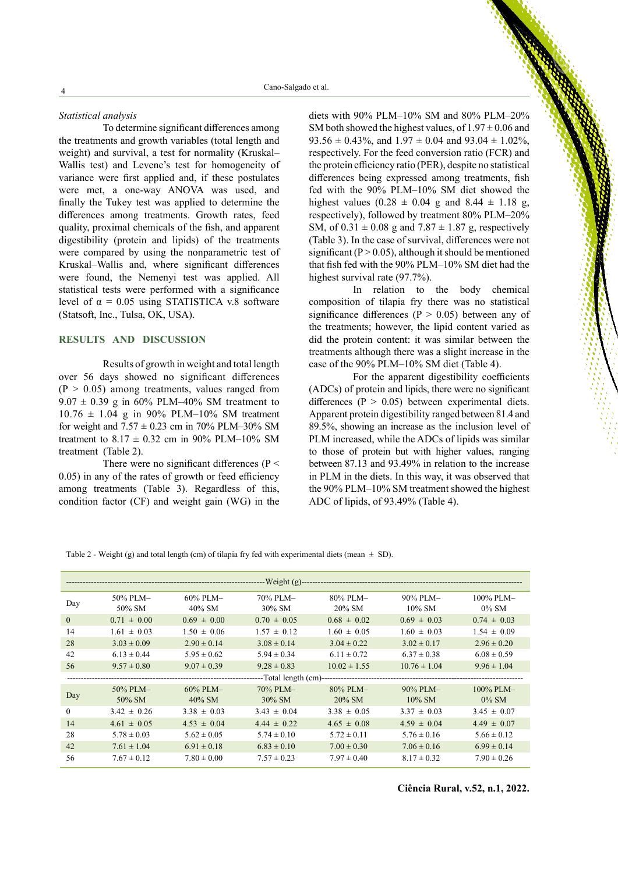#### *Statistical analysis*

To determine significant differences among the treatments and growth variables (total length and weight) and survival, a test for normality (Kruskal– Wallis test) and Levene's test for homogeneity of variance were first applied and, if these postulates were met, a one-way ANOVA was used, and finally the Tukey test was applied to determine the differences among treatments. Growth rates, feed quality, proximal chemicals of the fish, and apparent digestibility (protein and lipids) of the treatments were compared by using the nonparametric test of Kruskal–Wallis and, where significant differences were found, the Nemenyi test was applied. All statistical tests were performed with a significance level of  $\alpha = 0.05$  using STATISTICA v.8 software (Statsoft, Inc., Tulsa, OK, USA).

### **RESULTS AND DISCUSSION**

Results of growth in weight and total length over 56 days showed no significant differences  $(P > 0.05)$  among treatments, values ranged from  $9.07 \pm 0.39$  g in 60% PLM–40% SM treatment to  $10.76 \pm 1.04$  g in 90% PLM–10% SM treatment for weight and  $7.57 \pm 0.23$  cm in 70% PLM–30% SM treatment to  $8.17 \pm 0.32$  cm in 90% PLM–10% SM treatment (Table 2).

There were no significant differences ( $P \le$ 0.05) in any of the rates of growth or feed efficiency among treatments (Table 3). Regardless of this, condition factor (CF) and weight gain (WG) in the diets with 90% PLM–10% SM and 80% PLM–20% SM both showed the highest values, of  $1.97 \pm 0.06$  and 93.56  $\pm$  0.43%, and 1.97  $\pm$  0.04 and 93.04  $\pm$  1.02%, respectively. For the feed conversion ratio (FCR) and the protein efficiency ratio (PER), despite no statistical differences being expressed among treatments, fish fed with the 90% PLM–10% SM diet showed the highest values  $(0.28 \pm 0.04 \text{ g}$  and  $8.44 \pm 1.18 \text{ g}$ , respectively), followed by treatment 80% PLM–20% SM, of  $0.31 \pm 0.08$  g and  $7.87 \pm 1.87$  g, respectively (Table 3). In the case of survival, differences were not significant ( $P > 0.05$ ), although it should be mentioned that fish fed with the 90% PLM–10% SM diet had the highest survival rate (97.7%).

In relation to the body chemical composition of tilapia fry there was no statistical significance differences ( $P > 0.05$ ) between any of the treatments; however, the lipid content varied as did the protein content: it was similar between the treatments although there was a slight increase in the case of the 90% PLM–10% SM diet (Table 4).

For the apparent digestibility coefficients (ADCs) of protein and lipids, there were no significant differences ( $P > 0.05$ ) between experimental diets. Apparent protein digestibility ranged between 81.4 and 89.5%, showing an increase as the inclusion level of PLM increased, while the ADCs of lipids was similar to those of protein but with higher values, ranging between 87.13 and 93.49% in relation to the increase in PLM in the diets. In this way, it was observed that the 90% PLM–10% SM treatment showed the highest ADC of lipids, of 93.49% (Table 4).

| Table 2 - Weight (g) and total length (cm) of tilapia fry fed with experimental diets (mean $\pm$ SD). |  |  |  |
|--------------------------------------------------------------------------------------------------------|--|--|--|
|--------------------------------------------------------------------------------------------------------|--|--|--|

| Day      | 50% PLM-        | $60\%$ PLM-     | 70% PLM-        | 80% PLM-                               | 90% PLM-         | $100\%$ PLM-    |  |
|----------|-----------------|-----------------|-----------------|----------------------------------------|------------------|-----------------|--|
|          | 50% SM          | $40\%$ SM       | $30\%$ SM       | $20\%$ SM                              | $10\%$ SM        | $0\%$ SM        |  |
| $\theta$ | $0.71 \pm 0.00$ | $0.69 \pm 0.00$ | $0.70 \pm 0.05$ | $0.68 \pm 0.02$                        | $0.69 \pm 0.03$  | $0.74 \pm 0.03$ |  |
| 14       | $1.61 \pm 0.03$ | $1.50 \pm 0.06$ | $1.57 \pm 0.12$ | $1.60 \pm 0.05$                        | $1.60 \pm 0.03$  | $1.54 \pm 0.09$ |  |
| 28       | $3.03 \pm 0.09$ | $2.90 \pm 0.14$ | $3.08 \pm 0.14$ | $3.04 \pm 0.22$                        | $3.02 \pm 0.17$  | $2.96 \pm 0.20$ |  |
| 42       | $6.13 \pm 0.44$ | $5.95 \pm 0.62$ | $5.94 \pm 0.34$ | $6.11 \pm 0.72$                        | $6.37 \pm 0.38$  | $6.08 \pm 0.59$ |  |
| 56       | $9.57 \pm 0.80$ | $9.07 \pm 0.39$ | $9.28 \pm 0.83$ | $10.02 \pm 1.55$                       | $10.76 \pm 1.04$ | $9.96 \pm 1.04$ |  |
|          |                 |                 |                 | --Total length (cm)------------------- |                  |                 |  |
|          | 50% PLM-        | $60\%$ PLM $-$  | 70% PLM-        | 80% PLM-                               | 90% PLM-         | 100% PLM-       |  |
| Day      | 50% SM          | $40\%$ SM       | $30\%$ SM       | $20\%$ SM                              | $10\%$ SM        | $0\%$ SM        |  |
| $\theta$ | $3.42 \pm 0.26$ | $3.38 \pm 0.03$ | $3.43 \pm 0.04$ | $3.38 \pm 0.05$                        | $3.37 \pm 0.03$  | $3.45 \pm 0.07$ |  |
| 14       | $4.61 \pm 0.05$ | $4.53 \pm 0.04$ | $4.44 \pm 0.22$ | $4.65 \pm 0.08$                        | $4.59 \pm 0.04$  | $4.49 \pm 0.07$ |  |
| 28       | $5.78 \pm 0.03$ | $5.62 \pm 0.05$ | $5.74 \pm 0.10$ | $5.72 \pm 0.11$                        | $5.76 \pm 0.16$  | $5.66 \pm 0.12$ |  |
| 42       | $7.61 \pm 1.04$ | $6.91 \pm 0.18$ | $6.83 \pm 0.10$ | $7.00 \pm 0.30$                        | $7.06 \pm 0.16$  | $6.99 \pm 0.14$ |  |
| 56       | $7.67 \pm 0.12$ | $7.80 \pm 0.00$ | $7.57 \pm 0.23$ | $7.97 \pm 0.40$                        | $8.17 \pm 0.32$  | $7.90 \pm 0.26$ |  |

4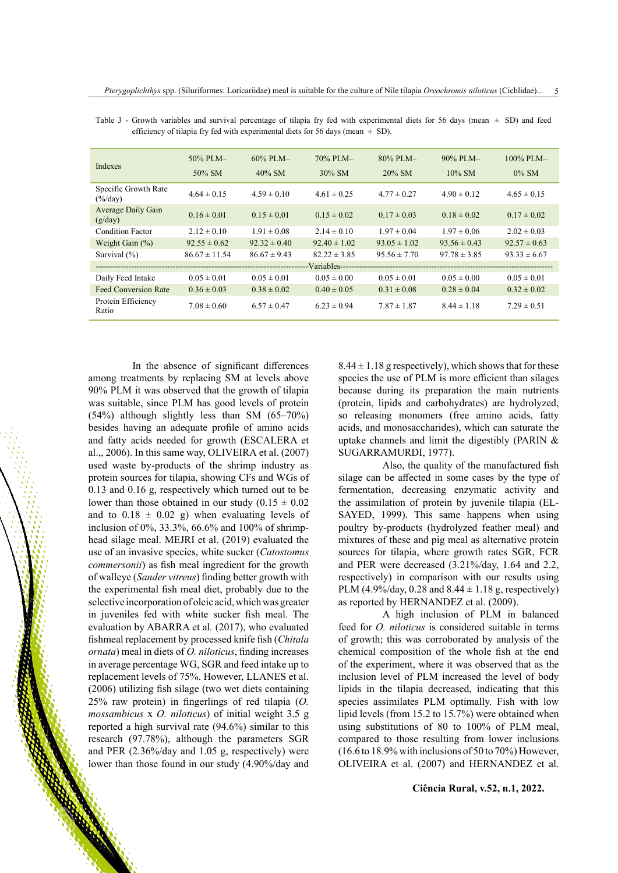| Indexes                                          | $50\%$ PLM $-$<br>50% SM | $60\%$ PLM-<br>$40\%$ SM | $70\%$ PLM $-$<br>$30\%$ SM | $80\%$ PLM $-$<br>$20\%$ SM | $90\%$ PLM-<br>$10\%$ SM | $100\%$ PLM-<br>$0\%$ SM |
|--------------------------------------------------|--------------------------|--------------------------|-----------------------------|-----------------------------|--------------------------|--------------------------|
| Specific Growth Rate<br>$(\frac{6}{\text{day}})$ | $4.64 \pm 0.15$          | $4.59 \pm 0.10$          | $4.61 \pm 0.25$             | $4.77 \pm 0.27$             | $4.90 \pm 0.12$          | $4.65 \pm 0.15$          |
| Average Daily Gain<br>(g/day)                    | $0.16 \pm 0.01$          | $0.15 \pm 0.01$          | $0.15 \pm 0.02$             | $0.17 \pm 0.03$             | $0.18 \pm 0.02$          | $0.17 \pm 0.02$          |
| Condition Factor                                 | $2.12 \pm 0.10$          | $1.91 \pm 0.08$          | $2.14 \pm 0.10$             | $1.97 \pm 0.04$             | $1.97 \pm 0.06$          | $2.02 \pm 0.03$          |
| Weight Gain $(\% )$                              | $92.55 \pm 0.62$         | $92.32 \pm 0.40$         | $92.40 \pm 1.02$            | $93.05 \pm 1.02$            | $93.56 \pm 0.43$         | $92.57 \pm 0.63$         |
| Survival $(\% )$                                 | $86.67 \pm 11.54$        | $86.67 \pm 9.43$         | $82.22 \pm 3.85$            | $95.56 \pm 7.70$            | $97.78 \pm 3.85$         | $93.33 \pm 6.67$         |
|                                                  |                          |                          | -Variables--                |                             |                          |                          |
| Daily Feed Intake                                | $0.05 \pm 0.01$          | $0.05 \pm 0.01$          | $0.05 \pm 0.00$             | $0.05 \pm 0.01$             | $0.05 \pm 0.00$          | $0.05 \pm 0.01$          |
| <b>Feed Conversion Rate</b>                      | $0.36 \pm 0.03$          | $0.38 \pm 0.02$          | $0.40 \pm 0.05$             | $0.31 \pm 0.08$             | $0.28 \pm 0.04$          | $0.32 \pm 0.02$          |
| Protein Efficiency<br>Ratio                      | $7.08 \pm 0.60$          | $6.57 \pm 0.47$          | $6.23 \pm 0.94$             | $7.87 \pm 1.87$             | $8.44 \pm 1.18$          | $7.29 \pm 0.51$          |

Table 3 - Growth variables and survival percentage of tilapia fry fed with experimental diets for 56 days (mean  $\pm$  SD) and feed efficiency of tilapia fry fed with experimental diets for 56 days (mean  $\pm$  SD).

In the absence of significant differences among treatments by replacing SM at levels above 90% PLM it was observed that the growth of tilapia was suitable, since PLM has good levels of protein (54%) although slightly less than SM (65–70%) besides having an adequate profile of amino acids and fatty acids needed for growth (ESCALERA et al.,, 2006). In this same way, OLIVEIRA et al. (2007) used waste by-products of the shrimp industry as protein sources for tilapia, showing CFs and WGs of 0.13 and 0.16 g, respectively which turned out to be lower than those obtained in our study  $(0.15 \pm 0.02)$ and to  $0.18 \pm 0.02$  g) when evaluating levels of inclusion of 0%, 33.3%, 66.6% and 100% of shrimphead silage meal. MEJRI et al. (2019) evaluated the use of an invasive species, white sucker (*Catostomus commersonii*) as fish meal ingredient for the growth of walleye (*Sander vitreus*) finding better growth with the experimental fish meal diet, probably due to the selective incorporation of oleic acid, which was greater in juveniles fed with white sucker fish meal. The evaluation by ABARRA et al*.* (2017), who evaluated fishmeal replacement by processed knife fish (*Chitala ornata*) meal in diets of *O. niloticus*, finding increases in average percentage WG, SGR and feed intake up to replacement levels of 75%. However, LLANES et al. (2006) utilizing fish silage (two wet diets containing 25% raw protein) in fingerlings of red tilapia (*O. mossambicus* x *O. niloticus*) of initial weight 3.5 g reported a high survival rate (94.6%) similar to this research (97.78%), although the parameters SGR and PER (2.36%/day and 1.05 g, respectively) were lower than those found in our study (4.90%/day and

 $8.44 \pm 1.18$  g respectively), which shows that for these species the use of PLM is more efficient than silages because during its preparation the main nutrients (protein, lipids and carbohydrates) are hydrolyzed, so releasing monomers (free amino acids, fatty acids, and monosaccharides), which can saturate the uptake channels and limit the digestibly (PARIN & SUGARRAMURDI, 1977).

Also, the quality of the manufactured fish silage can be affected in some cases by the type of fermentation, decreasing enzymatic activity and the assimilation of protein by juvenile tilapia (EL-SAYED, 1999). This same happens when using poultry by-products (hydrolyzed feather meal) and mixtures of these and pig meal as alternative protein sources for tilapia, where growth rates SGR, FCR and PER were decreased (3.21%/day, 1.64 and 2.2, respectively) in comparison with our results using PLM (4.9%/day, 0.28 and  $8.44 \pm 1.18$  g, respectively) as reported by HERNANDEZ et al. (2009).

A high inclusion of PLM in balanced feed for *O. niloticus* is considered suitable in terms of growth; this was corroborated by analysis of the chemical composition of the whole fish at the end of the experiment, where it was observed that as the inclusion level of PLM increased the level of body lipids in the tilapia decreased, indicating that this species assimilates PLM optimally. Fish with low lipid levels (from 15.2 to 15.7%) were obtained when using substitutions of 80 to 100% of PLM meal, compared to those resulting from lower inclusions (16.6 to 18.9% with inclusions of 50 to 70%) However, OLIVEIRA et al. (2007) and HERNANDEZ et al.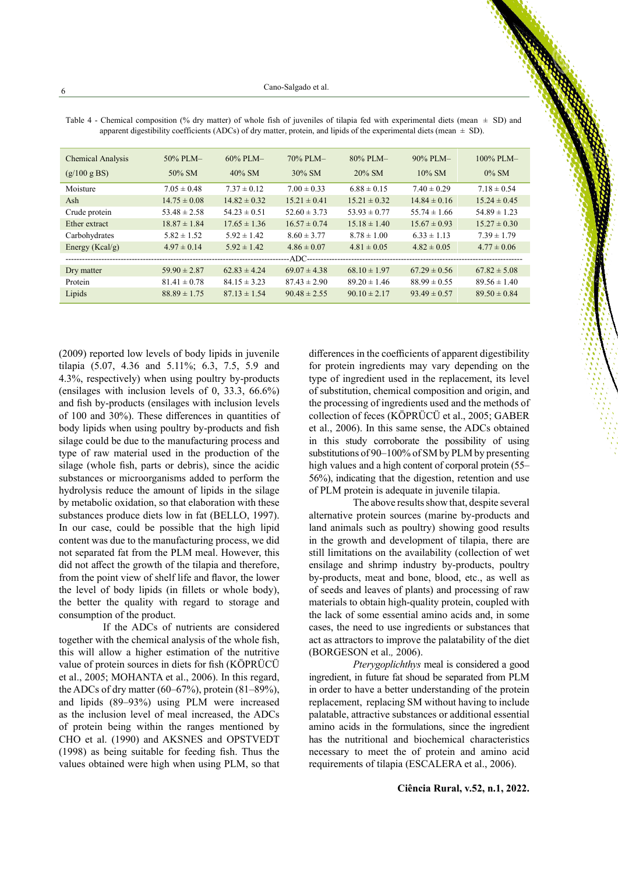| Chemical Analysis   | 50% PLM-         | 60% PLM-         | 70% PLM-         | 80% PLM-         | 90% PLM-         | 100% PLM-        |
|---------------------|------------------|------------------|------------------|------------------|------------------|------------------|
| (g/100 g BS)        | $50\%$ SM        | $40\%$ SM        | $30\%$ SM        | $20\%$ SM        | $10\%$ SM        | $0\%$ SM         |
| Moisture            | $7.05 \pm 0.48$  | $7.37 \pm 0.12$  | $7.00 \pm 0.33$  | $6.88 \pm 0.15$  | $7.40 \pm 0.29$  | $7.18 \pm 0.54$  |
| Ash                 | $14.75 \pm 0.08$ | $14.82 \pm 0.32$ | $15.21 \pm 0.41$ | $15.21 \pm 0.32$ | $14.84 \pm 0.16$ | $15.24 \pm 0.45$ |
| Crude protein       | $53.48 \pm 2.58$ | $54.23 \pm 0.51$ | $52.60 \pm 3.73$ | $53.93 \pm 0.77$ | $55.74 \pm 1.66$ | $54.89 \pm 1.23$ |
| Ether extract       | $18.87 \pm 1.84$ | $17.65 \pm 1.36$ | $16.57 \pm 0.74$ | $15.18 \pm 1.40$ | $15.67 \pm 0.93$ | $15.27 \pm 0.30$ |
| Carbohydrates       | $5.82 \pm 1.52$  | $5.92 \pm 1.42$  | $8.60 \pm 3.77$  | $8.78 \pm 1.00$  | $6.33 \pm 1.13$  | $7.39 \pm 1.79$  |
| Energy ( $Kcal/g$ ) | $4.97 \pm 0.14$  | $5.92 \pm 1.42$  | $4.86 \pm 0.07$  | $4.81 \pm 0.05$  | $4.82 \pm 0.05$  | $4.77 \pm 0.06$  |
|                     |                  |                  |                  |                  |                  |                  |
| Dry matter          | $59.90 \pm 2.87$ | $62.83 \pm 4.24$ | $69.07 \pm 4.38$ | $68.10 \pm 1.97$ | $67.29 \pm 0.56$ | $67.82 \pm 5.08$ |
| Protein             | $81.41 \pm 0.78$ | $84.15 \pm 3.23$ | $87.43 \pm 2.90$ | $89.20 \pm 1.46$ | $88.99 \pm 0.55$ | $89.56 \pm 1.40$ |
| Lipids              | $88.89 \pm 1.75$ | $87.13 \pm 1.54$ | $90.48 \pm 2.55$ | $90.10 \pm 2.17$ | $93.49 \pm 0.57$ | $89.50 \pm 0.84$ |

Table 4 - Chemical composition (% dry matter) of whole fish of juveniles of tilapia fed with experimental diets (mean  $\pm$  SD) and apparent digestibility coefficients (ADCs) of dry matter, protein, and lipids of the experimental diets (mean  $\pm$  SD).

(2009) reported low levels of body lipids in juvenile tilapia (5.07, 4.36 and 5.11%; 6.3, 7.5, 5.9 and 4.3%, respectively) when using poultry by-products (ensilages with inclusion levels of 0, 33.3, 66.6%) and fish by-products (ensilages with inclusion levels of 100 and 30%). These differences in quantities of body lipids when using poultry by-products and fish silage could be due to the manufacturing process and type of raw material used in the production of the silage (whole fish, parts or debris), since the acidic substances or microorganisms added to perform the hydrolysis reduce the amount of lipids in the silage by metabolic oxidation, so that elaboration with these substances produce diets low in fat (BELLO, 1997). In our case, could be possible that the high lipid content was due to the manufacturing process, we did not separated fat from the PLM meal. However, this did not affect the growth of the tilapia and therefore, from the point view of shelf life and flavor, the lower the level of body lipids (in fillets or whole body), the better the quality with regard to storage and consumption of the product.

If the ADCs of nutrients are considered together with the chemical analysis of the whole fish, this will allow a higher estimation of the nutritive value of protein sources in diets for fish (KÖPRÜCÜ et al., 2005; MOHANTA et al., 2006). In this regard, the ADCs of dry matter  $(60-67%)$ , protein  $(81-89%)$ . and lipids (89–93%) using PLM were increased as the inclusion level of meal increased, the ADCs of protein being within the ranges mentioned by CHO et al. (1990) and AKSNES and OPSTVEDT (1998) as being suitable for feeding fish. Thus the values obtained were high when using PLM, so that

differences in the coefficients of apparent digestibility for protein ingredients may vary depending on the type of ingredient used in the replacement, its level of substitution, chemical composition and origin, and the processing of ingredients used and the methods of collection of feces (KÖPRÜCÜ et al., 2005; GABER et al., 2006). In this same sense, the ADCs obtained in this study corroborate the possibility of using substitutions of 90–100% of SM by PLM by presenting high values and a high content of corporal protein (55– 56%), indicating that the digestion, retention and use of PLM protein is adequate in juvenile tilapia.

The above results show that, despite several alternative protein sources (marine by-products and land animals such as poultry) showing good results in the growth and development of tilapia, there are still limitations on the availability (collection of wet ensilage and shrimp industry by-products, poultry by-products, meat and bone, blood, etc., as well as of seeds and leaves of plants) and processing of raw materials to obtain high-quality protein, coupled with the lack of some essential amino acids and, in some cases, the need to use ingredients or substances that act as attractors to improve the palatability of the diet (BORGESON et al.*,* 2006).

*Pterygoplichthys* meal is considered a good ingredient, in future fat shoud be separated from PLM in order to have a better understanding of the protein replacement, replacing SM without having to include palatable, attractive substances or additional essential amino acids in the formulations, since the ingredient has the nutritional and biochemical characteristics necessary to meet the of protein and amino acid requirements of tilapia (ESCALERA et al., 2006).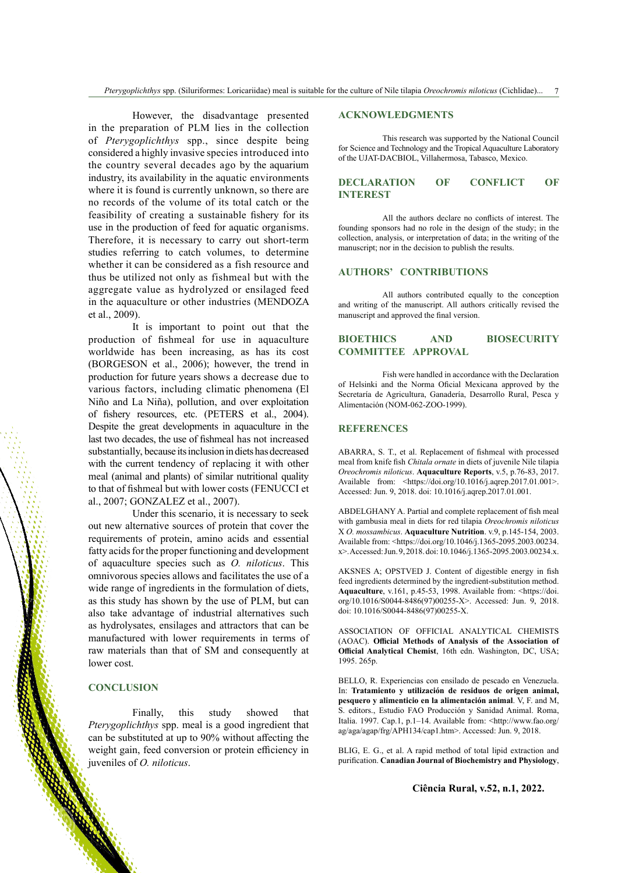However, the disadvantage presented in the preparation of PLM lies in the collection of *Pterygoplichthys* spp., since despite being considered a highly invasive species introduced into the country several decades ago by the aquarium industry, its availability in the aquatic environments where it is found is currently unknown, so there are no records of the volume of its total catch or the feasibility of creating a sustainable fishery for its use in the production of feed for aquatic organisms. Therefore, it is necessary to carry out short-term studies referring to catch volumes, to determine whether it can be considered as a fish resource and thus be utilized not only as fishmeal but with the aggregate value as hydrolyzed or ensilaged feed in the aquaculture or other industries (MENDOZA et al., 2009).

It is important to point out that the production of fishmeal for use in aquaculture worldwide has been increasing, as has its cost (BORGESON et al., 2006); however, the trend in production for future years shows a decrease due to various factors, including climatic phenomena (El Niño and La Niña), pollution, and over exploitation of fishery resources, etc. (PETERS et al., 2004). Despite the great developments in aquaculture in the last two decades, the use of fishmeal has not increased substantially, because its inclusion in diets has decreased with the current tendency of replacing it with other meal (animal and plants) of similar nutritional quality to that of fishmeal but with lower costs (FENUCCI et al., 2007; GONZALEZ et al., 2007).

Under this scenario, it is necessary to seek out new alternative sources of protein that cover the requirements of protein, amino acids and essential fatty acids for the proper functioning and development of aquaculture species such as *O. niloticus*. This omnivorous species allows and facilitates the use of a wide range of ingredients in the formulation of diets, as this study has shown by the use of PLM, but can also take advantage of industrial alternatives such as hydrolysates, ensilages and attractors that can be manufactured with lower requirements in terms of raw materials than that of SM and consequently at lower cost.

## **CONCLUSION**

Finally, this study showed that *Pterygoplichthys* spp. meal is a good ingredient that can be substituted at up to 90% without affecting the weight gain, feed conversion or protein efficiency in juveniles of *O. niloticus*.

### **ACKNOWLEDGMENTS**

This research was supported by the National Council for Science and Technology and the Tropical Aquaculture Laboratory of the UJAT-DACBIOL, Villahermosa, Tabasco, Mexico.

# **DECLARATION OF CONFLICT OF INTEREST**

All the authors declare no conflicts of interest. The founding sponsors had no role in the design of the study; in the collection, analysis, or interpretation of data; in the writing of the manuscript; nor in the decision to publish the results.

# **AUTHORS' CONTRIBUTIONS**

All authors contributed equally to the conception and writing of the manuscript. All authors critically revised the manuscript and approved the final version.

# **BIOETHICS AND BIOSECURITY COMMITTEE APPROVAL**

Fish were handled in accordance with the Declaration of Helsinki and the Norma Oficial Mexicana approved by the Secretaría de Agricultura, Ganadería, Desarrollo Rural, Pesca y Alimentación (NOM-062-ZOO-1999).

# **REFERENCES**

ABARRA, S. T., et al. Replacement of fishmeal with processed meal from knife fish *Chitala ornate* in diets of juvenile Nile tilapia *Oreochromis niloticus*. **Aquaculture Reports**, v.5, p.76-83, 2017. Available from: <<https://doi.org/10.1016/j.aqrep.2017.01.001>>. Accessed: Jun. 9, 2018. doi: 10.1016/j.aqrep.2017.01.001.

ABDELGHANY A. Partial and complete replacement of fish meal with gambusia meal in diets for red tilapia *Oreochromis niloticus*  X *O. mossambicus*. **Aquaculture Nutrition**. v.9, p.145-154, 2003. Available from: <[https://doi.org/10.1046/j.1365-2095.2003.00234.](https://doi.org/10.1046/j.1365-2095.2003.00234.x) [x](https://doi.org/10.1046/j.1365-2095.2003.00234.x)>. Accessed: Jun. 9, 2018. doi: 10.1046/j.1365-2095.2003.00234.x.

AKSNES A; OPSTVED J. Content of digestible energy in fish feed ingredients determined by the ingredient-substitution method. **Aquaculture**, v.161, p.45-53, 1998. Available from: <[https://doi.](https://doi.org/10.1016/S0044-8486(97)00255-X) [org/10.1016/S0044-8486\(97\)00255-X>](https://doi.org/10.1016/S0044-8486(97)00255-X). Accessed: Jun. 9, 2018. doi: 10.1016/S0044-8486(97)00255-X.

ASSOCIATION OF OFFICIAL ANALYTICAL CHEMISTS (AOAC). **Official Methods of Analysis of the Association of Official Analytical Chemist**, 16th edn. Washington, DC, USA; 1995. 265p.

BELLO, R. Experiencias con ensilado de pescado en Venezuela. In: **Tratamiento y utilización de residuos de origen animal, pesquero y alimenticio en la alimentación animal**. V, F. and M, S. editors., Estudio FAO Producción y Sanidad Animal. Roma, Italia. 1997. Cap.1, p.1–14. Available from: <[http://www.fao.org/](http://www.fao.org/ag/aga/agap/frg/APH134/cap1.htm) [ag/aga/agap/frg/APH134/cap1.htm>](http://www.fao.org/ag/aga/agap/frg/APH134/cap1.htm). Accessed: Jun. 9, 2018.

BLIG, E. G., et al. A rapid method of total lipid extraction and purification. **Canadian Journal of Biochemistry and Physiology**,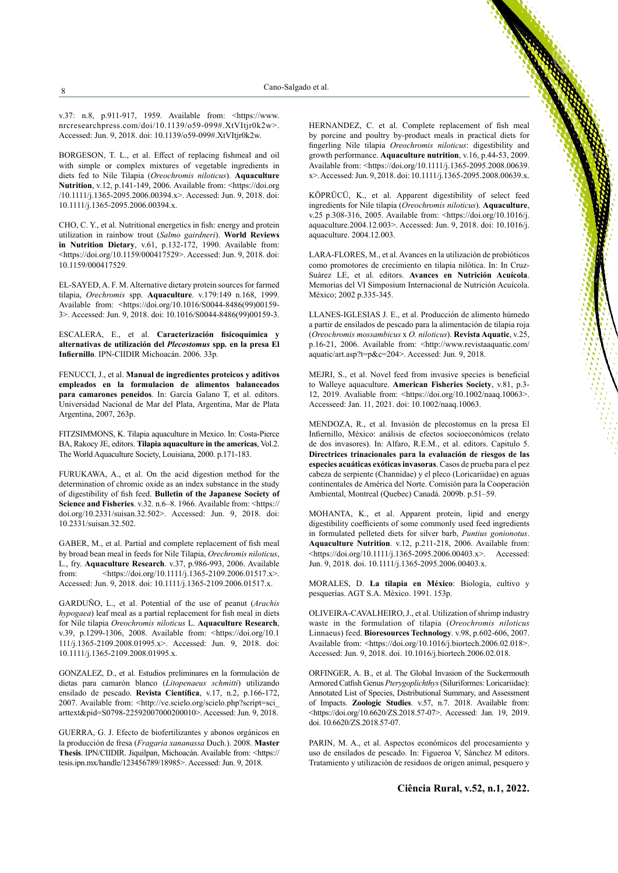v.37: n.8, p.911-917, 1959. Available from: [<https://www.](https://www.nrcresearchpress.com/doi/10.1139/o59-099#.XtVItjr0k2w) [nrcresearchpress.com/doi/10.1139/o59-099#.XtVItjr0k2w](https://www.nrcresearchpress.com/doi/10.1139/o59-099#.XtVItjr0k2w)>. Accessed: Jun. 9, 2018. doi: 10.1139/o59-099#.XtVItjr0k2w.

BORGESON, T. L., et al. Effect of replacing fishmeal and oil with simple or complex mixtures of vegetable ingredients in diets fed to Nile Tilapia (*Oreochromis niloticus*). **Aquaculture Nutrition**, v.12, p.141-149, 2006. Available from: <[https://doi.org](https://doi.org/10.1111/j.1365-2095.2006.00394.x) [/10.1111/j.1365-2095.2006.00394.x](https://doi.org/10.1111/j.1365-2095.2006.00394.x)>. Accessed: Jun. 9, 2018. doi: 10.1111/j.1365-2095.2006.00394.x.

CHO, C. Y., et al. Nutritional energetics in fish: energy and protein utilization in rainbow trout (*Salmo gairdneri*). **World Reviews in Nutrition Dietary**, v.61, p.132-172, 1990. Available from: <<https://doi.org/10.1159/000417529>>. Accessed: Jun. 9, 2018. doi: 10.1159/000417529.

EL-SAYED, A. F. M. Alternative dietary protein sources for farmed tilapia, *Orechromis* spp. **Aquaculture**. v.179:149 n.168, 1999. Available from: <[https://doi.org/10.1016/S0044-8486\(99\)00159-](https://doi.org/10.1016/S0044-8486(99)00159-3) [3](https://doi.org/10.1016/S0044-8486(99)00159-3)>. Accessed: Jun. 9, 2018. doi: 10.1016/S0044-8486(99)00159-3.

ESCALERA, E., et al. **Caracterización fisicoquímica y alternativas de utilización del** *Plecostomus* **spp***.* **en la presa El Infiernillo**. IPN-CIIDIR Michoacán. 2006. 33p.

FENUCCI, J., et al. **Manual de ingredientes proteicos y aditivos empleados en la formulacion de alimentos balanceados para camarones peneidos**. In: García Galano T, et al. editors. Universidad Nacional de Mar del Plata, Argentina, Mar de Plata Argentina, 2007, 263p.

FITZSIMMONS, K. Tilapia aquaculture in Mexico. In: Costa-Pierce BA, Rakocy JE, editors. **Tilapia aquaculture in the americas**, Vol.2. The World Aquaculture Society, Louisiana, 2000. p.171-183.

FURUKAWA, A., et al. On the acid digestion method for the determination of chromic oxide as an index substance in the study of digestibility of fish feed. **Bulletin of the Japanese Society of**  Science and Fisheries. v.32. n.6–8. 1966. Available from: <[https://](https://doi.org/10.2331/suisan.32.502) [doi.org/10.2331/suisan.32.502](https://doi.org/10.2331/suisan.32.502)>. Accessed: Jun. 9, 2018. doi: 10.2331/suisan.32.502.

GABER, M., et al. Partial and complete replacement of fish meal by broad bean meal in feeds for Nile Tilapia, *Orechromis niloticus*, L., fry. **Aquaculture Research**. v.37, p.986-993, 2006. Available from: <<https://doi.org/10.1111/j.1365-2109.2006.01517.x>>. Accessed: Jun. 9, 2018. doi: 10.1111/j.1365-2109.2006.01517.x.

GARDUÑO, L., et al. Potential of the use of peanut (*Arachis hypogaea*) leaf meal as a partial replacement for fish meal in diets for Nile tilapia *Oreochromis niloticus* L. **Aquaculture Research**, v.39, p.1299-1306, 2008. Available from: <[https://doi.org/10.1](https://doi.org/10.1111/j.1365-2109.2008.01995.x) [111/j.1365-2109.2008.01995.x](https://doi.org/10.1111/j.1365-2109.2008.01995.x)>. Accessed: Jun. 9, 2018. doi: 10.1111/j.1365-2109.2008.01995.x.

GONZALEZ, D., et al. Estudios preliminares en la formulación de dietas para camarón blanco (*Litopenaeus schmitti*) utilizando ensilado de pescado. **Revista Científica**, v.17, n.2, p.166-172, 2007. Available from: <[http://ve.scielo.org/scielo.php?script=sci\\_](http://ve.scielo.org/scielo.php?script=sci_arttext&pid=S0798-22592007000200010) [arttext&pid=S0798-2259200700020](http://ve.scielo.org/scielo.php?script=sci_arttext&pid=S0798-22592007000200010)0010>. Accessed: Jun. 9, 2018.

GUERRA, G. J. Efecto de biofertilizantes y abonos orgánicos en la producción de fresa (*Fragaria xananassa* Duch.). 2008. **Master Thesis**. IPN/CIIDIR. Jiquilpan, Michoacán. Available from: <[https://](https://tesis.ipn.mx/handle/123456789/18985) [tesis.ipn.mx/handle/123456789/18985>](https://tesis.ipn.mx/handle/123456789/18985). Accessed: Jun. 9, 2018.

HERNANDEZ, C. et al. Complete replacement of fish meal by porcine and poultry by-product meals in practical diets for fingerling Nile tilapia *Oreochromis niloticus*: digestibility and growth performance. **Aquaculture nutrition**, v.16, p.44-53, 2009. Available from: <[https://doi.org/10.1111/j.1365-2095.2008.00639.](https://doi.org/10.1111/j.1365-2095.2008.00639.x) [x](https://doi.org/10.1111/j.1365-2095.2008.00639.x)>. Accessed: Jun. 9, 2018. doi: 10.1111/j.1365-2095.2008.00639.x.

KÖPRÜCÜ, K., et al. Apparent digestibility of select feed ingredients for Nile tilapia (*Oreochromis niloticus*). **Aquaculture**, v.25 p.308-316, 2005. Available from: <[https://doi.org/10.1016/j.](https://doi.org/10.1016/j.aquaculture.2004.12.003) [aquaculture.2004.12.003>](https://doi.org/10.1016/j.aquaculture.2004.12.003). Accessed: Jun. 9, 2018. doi: 10.1016/j. aquaculture. 2004.12.003.

LARA-FLORES, M., et al. Avances en la utilización de probióticos como promotores de crecimiento en tilapia nilótica. In: In Cruz-Suárez LE, et al. editors. **Avances en Nutrición Acuícola**. Memorias del VI Simposium Internacional de Nutrición Acuícola. México; 2002 p.335-345.

LLANES-IGLESIAS J. E., et al. Producción de alimento húmedo a partir de ensilados de pescado para la alimentación de tilapia roja (*Oreochromis mossambicus* x *O. niloticus*). **Revista Aquatic**, v.25, p.16-21, 2006. Available from: <[http://www.revistaaquatic.com/](http://www.revistaaquatic.com/aquatic/art.asp?t=p&c=204) [aquatic/art.asp?t=p&c=204>](http://www.revistaaquatic.com/aquatic/art.asp?t=p&c=204). Accessed: Jun. 9, 2018.

MEJRI, S., et al. Novel feed from invasive species is beneficial to Walleye aquaculture. **American Fisheries Society**, v.81, p.3- 12, 2019. Avaliable from: <https://doi.org/10.1002/naaq.10063>. Accesseed: Jan. 11, 2021. doi: 10.1002/naaq.10063.

MENDOZA, R., et al. Invasión de plecostomus en la presa El Infiernillo, México: análisis de efectos socioeconómicos (relato de dos invasores). In: Alfaro, R.E.M., et al. editors. Capitulo 5. **Directrices trinacionales para la evaluación de riesgos de las especies acuáticas exóticas invasoras**. Casos de prueba para el pez cabeza de serpiente (Channidae) y el pleco (Loricariidae) en aguas continentales de América del Norte. Comisión para la Cooperación Ambiental, Montreal (Quebec) Canadá. 2009b. p.51–59.

MOHANTA, K., et al. Apparent protein, lipid and energy digestibility coefficients of some commonly used feed ingredients in formulated pelleted diets for silver barb, *Puntius gonionotus*. **Aquaculture Nutrition**. v.12, p.211-218, 2006. Available from: <<https://doi.org/10.1111/j.1365-2095.2006.00403.x>>. Accessed: Jun. 9, 2018. doi. 10.1111/j.1365-2095.2006.00403.x.

MORALES, D. **La tilapia en México**: Biología, cultivo y pesquerías. AGT S.A. México. 1991. 153p.

OLIVEIRA-CAVALHEIRO, J., et al. Utilization of shrimp industry waste in the formulation of tilapia (*Oreochromis niloticus* Linnaeus) feed. **Bioresources Technology**. v.98, p.602-606, 2007. Available from: <[https://doi.org/10.1016/j.biortech.2006.02.018>](https://doi.org/10.1016/j.biortech.2006.02.018). Accessed: Jun. 9, 2018. doi. 10.1016/j.biortech.2006.02.018.

ORFINGER, A. B., et al. The Global Invasion of the Suckermouth Armored Catfish Genus *Pterygoplichthys* (Siluriformes: Loricariidae): Annotated List of Species, Distributional Summary, and Assessment of Impacts. **Zoologic Studies**. v.57, n.7. 2018. Available from: <https://doi.org/[10.6620/ZS.2018.57-07](https://dx.doi.org/10.6620%2FZS.2018.57-07)>. Accessed: Jan. 19, 2019. doi. 10.6620/ZS.2018.57-07.

PARIN, M. A., et al. Aspectos económicos del procesamiento y uso de ensilados de pescado. In: Figueroa V, Sánchez M editors. Tratamiento y utilización de residuos de origen animal, pesquero y